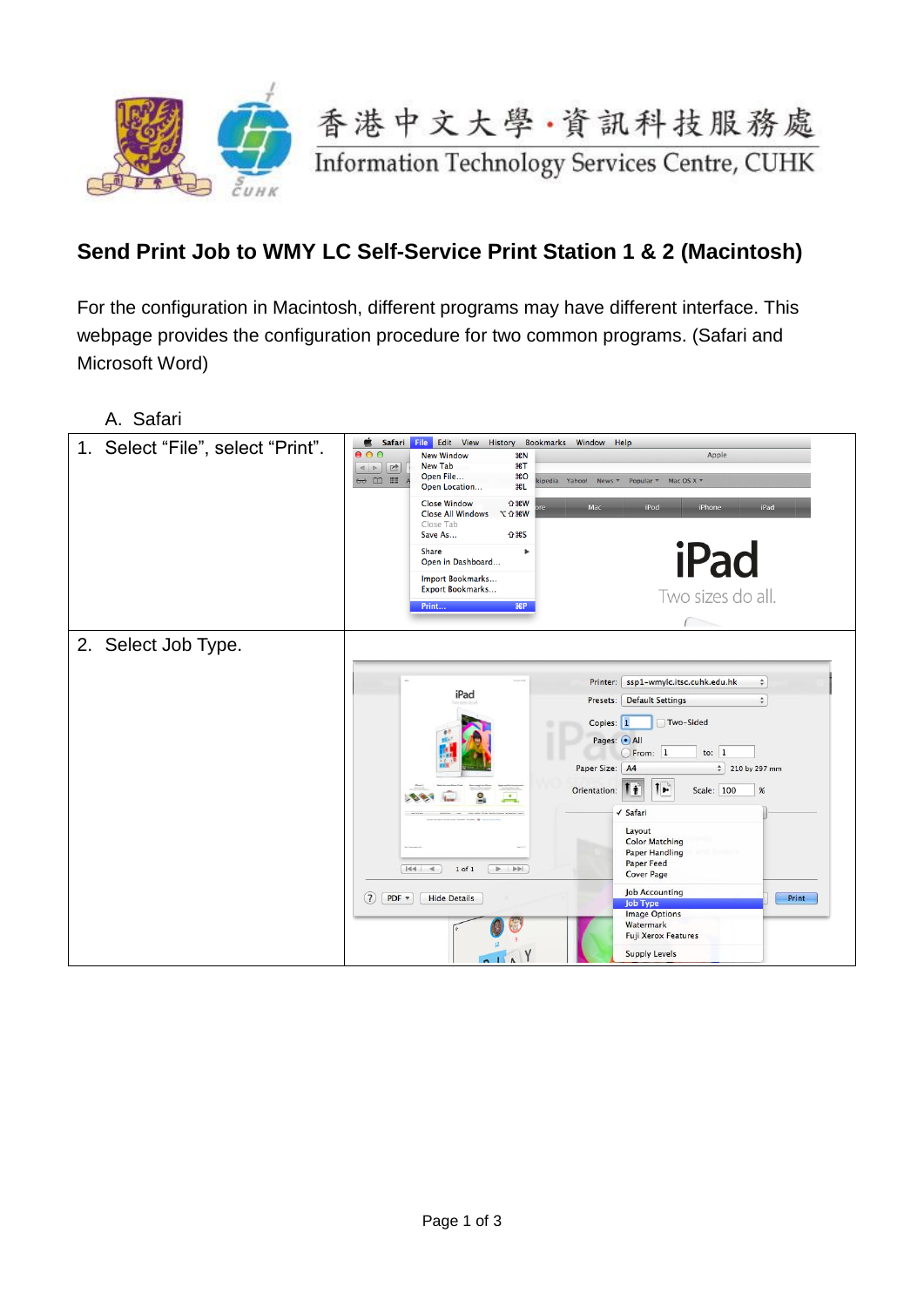

## **Send Print Job to WMY LC Self-Service Print Station 1 & 2 (Macintosh)**

For the configuration in Macintosh, different programs may have different interface. This webpage provides the configuration procedure for two common programs. (Safari and Microsoft Word)

| A. Safari                         |                                                                                                                                                                                                                                                                                                                                                                                                                       |
|-----------------------------------|-----------------------------------------------------------------------------------------------------------------------------------------------------------------------------------------------------------------------------------------------------------------------------------------------------------------------------------------------------------------------------------------------------------------------|
| 1. Select "File", select "Print". | é.<br>File Edit View History<br>Safari<br>Bookmarks Window Help<br>000<br>Apple<br><b>New Window</b><br>8N<br><b>New Tab</b><br>$\frac{1}{2}$<br>$\sqrt{2}$<br>$\begin{array}{c c c c} A & & \rightarrow \\ \hline \end{array}$<br>Open File<br>\$0<br>$\leftrightarrow$ $\Box$ $\equiv$<br>Mac OS $X \neq$<br>kipedia Yahoo!<br>Popular $\overline{v}$<br>News $\overline{\mathbf{v}}$<br><b>第L</b><br>Open Location |
|                                   | <b>Close Window</b><br><b>介</b> %W<br>Mac<br>iPod<br>iPad<br>iPhone<br><b>Close All Windows</b><br><b>N%CD</b><br>Close Tab<br>Save As<br><b>企</b> 第5                                                                                                                                                                                                                                                                 |
|                                   | iPad<br><b>Share</b><br>ь<br>Open in Dashboard                                                                                                                                                                                                                                                                                                                                                                        |
|                                   | Import Bookmarks<br>Export Bookmarks<br>Two sizes do all.<br>B<br>Print                                                                                                                                                                                                                                                                                                                                               |
|                                   |                                                                                                                                                                                                                                                                                                                                                                                                                       |
| 2. Select Job Type.               |                                                                                                                                                                                                                                                                                                                                                                                                                       |
|                                   | ssp1-wmylc.itsc.cuhk.edu.hk<br>Printer:<br>$\stackrel{\mathtt{A}}{\mathtt{v}}$<br>iPad<br>Presets: Default Settings<br>$\div$                                                                                                                                                                                                                                                                                         |
|                                   | Copies: 1<br>Two-Sided<br>Pages: OAll<br>to: $1$<br>OFrom: 1<br>Paper Size: A4<br>$\frac{4}{7}$ 210 by 297 mm                                                                                                                                                                                                                                                                                                         |
|                                   | $\mathbf{L}$<br>Scale: 100<br>Orientation:<br>ΙŤ<br>$\%$                                                                                                                                                                                                                                                                                                                                                              |
|                                   | √ Safari<br>Layout<br><b>Color Matching</b><br><b>Paper Handling</b><br><b>Paper Feed</b><br>$ 44 $ 4<br>$1$ of $1$<br> 44 <br>ь.<br><b>Cover Page</b>                                                                                                                                                                                                                                                                |
|                                   | <b>Job Accounting</b><br>(7)<br>$PDF =$<br><b>Hide Details</b><br>Print<br><b>Job Type</b><br><b>Image Options</b><br>Watermark<br><b>Fuji Xerox Features</b><br><b>Supply Levels</b><br>$\Lambda$                                                                                                                                                                                                                    |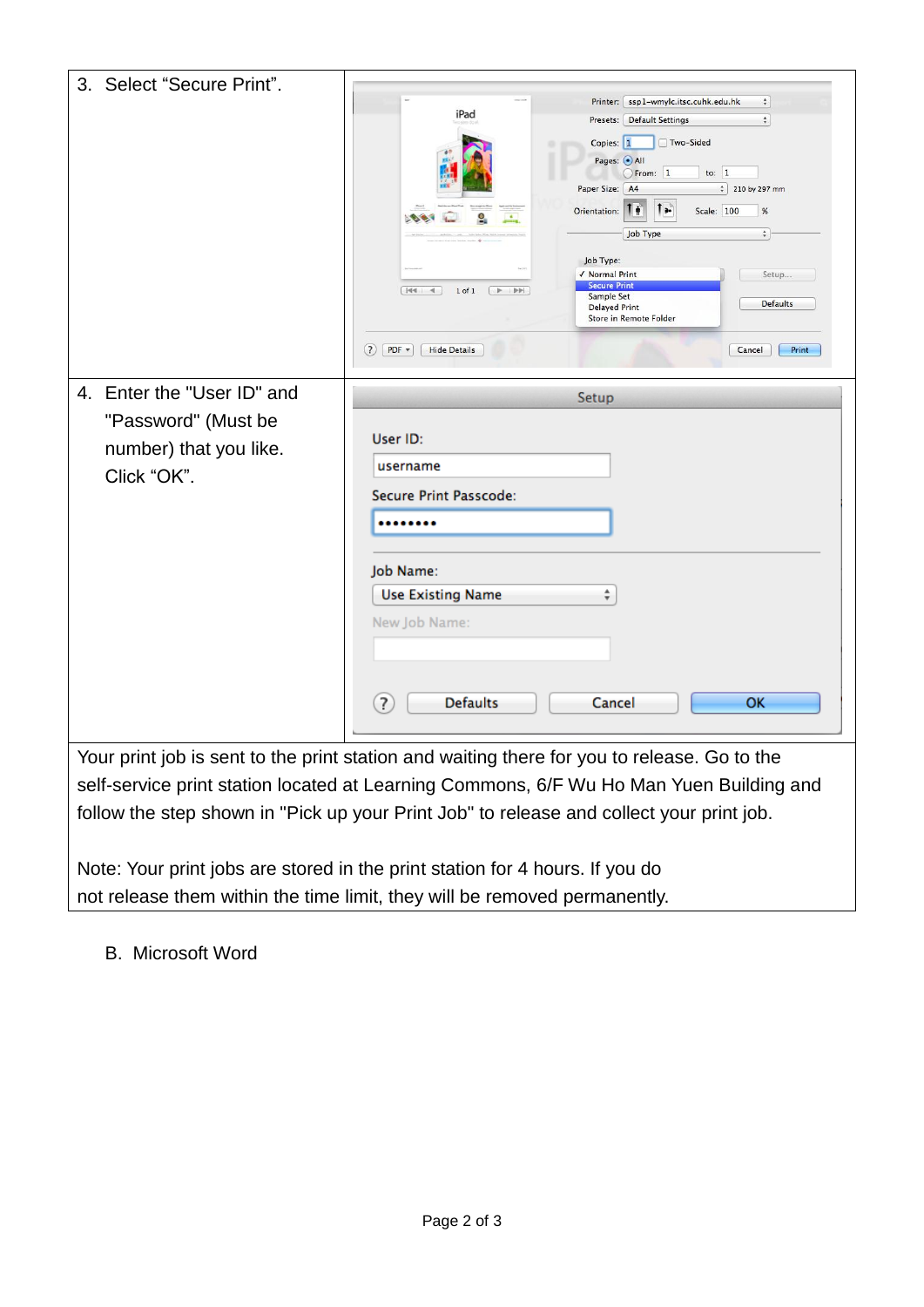| 3. Select "Secure Print".                                                                                                                                                           |                                      |                                                                                                   |  |
|-------------------------------------------------------------------------------------------------------------------------------------------------------------------------------------|--------------------------------------|---------------------------------------------------------------------------------------------------|--|
|                                                                                                                                                                                     | iPad                                 | Printer:   ssp1-wmylc.itsc.cuhk.edu.hk<br>$\div$<br>$\div$<br><b>Default Settings</b><br>Presets: |  |
|                                                                                                                                                                                     |                                      | □ Two-Sided<br>Copies: 1                                                                          |  |
|                                                                                                                                                                                     |                                      | Pages: OAll                                                                                       |  |
|                                                                                                                                                                                     |                                      | From: 1<br>to: $1$<br>$\frac{4}{7}$ 210 by 297 mm<br>Paper Size: A4                               |  |
|                                                                                                                                                                                     |                                      | $\mathbf{I}$ $\mathbf{r}$<br>Scale: 100<br>Orientation:<br>$\%$                                   |  |
|                                                                                                                                                                                     |                                      | $\hat{\div}$<br>Job Type                                                                          |  |
|                                                                                                                                                                                     |                                      | Job Type:                                                                                         |  |
|                                                                                                                                                                                     | 1 of 1                               | √ Normal Print<br>Setup<br><b>Secure Print</b>                                                    |  |
|                                                                                                                                                                                     |                                      | Sample Set<br><b>Defaults</b><br><b>Delayed Print</b><br>Store in Remote Folder                   |  |
|                                                                                                                                                                                     |                                      |                                                                                                   |  |
|                                                                                                                                                                                     | $(7)$ PDF $*$<br><b>Hide Details</b> | Cancel<br>Print                                                                                   |  |
| 4. Enter the "User ID" and                                                                                                                                                          | Setup                                |                                                                                                   |  |
| "Password" (Must be                                                                                                                                                                 |                                      |                                                                                                   |  |
|                                                                                                                                                                                     | User ID:                             |                                                                                                   |  |
| number) that you like.                                                                                                                                                              | username                             |                                                                                                   |  |
| Click "OK".                                                                                                                                                                         | Secure Print Passcode:               |                                                                                                   |  |
|                                                                                                                                                                                     |                                      |                                                                                                   |  |
|                                                                                                                                                                                     |                                      |                                                                                                   |  |
|                                                                                                                                                                                     | Job Name:                            |                                                                                                   |  |
|                                                                                                                                                                                     | <b>Use Existing Name</b>             | ÷                                                                                                 |  |
|                                                                                                                                                                                     | New Job Name:                        |                                                                                                   |  |
|                                                                                                                                                                                     |                                      |                                                                                                   |  |
|                                                                                                                                                                                     |                                      |                                                                                                   |  |
|                                                                                                                                                                                     | ?<br><b>Defaults</b>                 | Cancel<br><b>OK</b>                                                                               |  |
|                                                                                                                                                                                     |                                      |                                                                                                   |  |
|                                                                                                                                                                                     |                                      |                                                                                                   |  |
| Your print job is sent to the print station and waiting there for you to release. Go to the                                                                                         |                                      |                                                                                                   |  |
| self-service print station located at Learning Commons, 6/F Wu Ho Man Yuen Building and<br>follow the step shown in "Pick up your Print Job" to release and collect your print job. |                                      |                                                                                                   |  |
|                                                                                                                                                                                     |                                      |                                                                                                   |  |
|                                                                                                                                                                                     |                                      |                                                                                                   |  |

Note: Your print jobs are stored in the print station for 4 hours. If you do not release them within the time limit, they will be removed permanently.

B. Microsoft Word